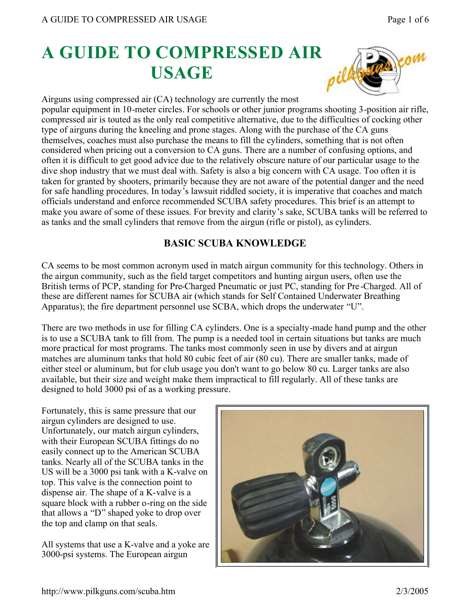# **A GUIDE TO COMPRESSED AIR USAGE**



Airguns using compressed air (CA) technology are currently the most

popular equipment in 10-meter circles. For schools or other junior programs shooting 3-position air rifle, compressed air is touted as the only real competitive alternative, due to the difficulties of cocking other type of airguns during the kneeling and prone stages. Along with the purchase of the CA guns themselves, coaches must also purchase the means to fill the cylinders, something that is not often considered when pricing out a conversion to CA guns. There are a number of confusing options, and often it is difficult to get good advice due to the relatively obscure nature of our particular usage to the dive shop industry that we must deal with. Safety is also a big concern with CA usage. Too often it is taken for granted by shooters, primarily because they are not aware of the potential danger and the need for safe handling procedures. In today's lawsuit riddled society, it is imperative that coaches and match officials understand and enforce recommended SCUBA safety procedures. This brief is an attempt to make you aware of some of these issues. For brevity and clarity's sake, SCUBA tanks will be referred to as tanks and the small cylinders that remove from the airgun (rifle or pistol), as cylinders.

# **BASIC SCUBA KNOWLEDGE**

CA seems to be most common acronym used in match airgun community for this technology. Others in the airgun community, such as the field target competitors and hunting airgun users, often use the British terms of PCP, standing for Pre-Charged Pneumatic or just PC, standing for Pre -Charged. All of these are different names for SCUBA air (which stands for Self Contained Underwater Breathing Apparatus); the fire department personnel use SCBA, which drops the underwater "U".

There are two methods in use for filling CA cylinders. One is a specialty-made hand pump and the other is to use a SCUBA tank to fill from. The pump is a needed tool in certain situations but tanks are much more practical for most programs. The tanks most commonly seen in use by divers and at airgun matches are aluminum tanks that hold 80 cubic feet of air (80 cu). There are smaller tanks, made of either steel or aluminum, but for club usage you don't want to go below 80 cu. Larger tanks are also available, but their size and weight make them impractical to fill regularly. All of these tanks are designed to hold 3000 psi of as a working pressure.

Fortunately, this is same pressure that our airgun cylinders are designed to use. Unfortunately, our match airgun cylinders, with their European SCUBA fittings do no easily connect up to the American SCUBA tanks. Nearly all of the SCUBA tanks in the US will be a 3000 psi tank with a K-valve on top. This valve is the connection point to dispense air. The shape of a K-valve is a square block with a rubber o-ring on the side that allows a "D" shaped yoke to drop over the top and clamp on that seals.

All systems that use a K-valve and a yoke are 3000-psi systems. The European airgun

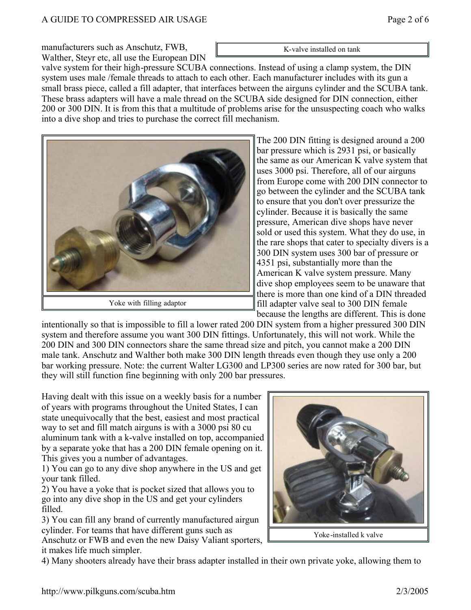manufacturers such as Anschutz, FWB, Walther, Steyr etc, all use the European DIN

valve system for their high-pressure SCUBA connections. Instead of using a clamp system, the DIN system uses male /female threads to attach to each other. Each manufacturer includes with its gun a small brass piece, called a fill adapter, that interfaces between the airguns cylinder and the SCUBA tank. These brass adapters will have a male thread on the SCUBA side designed for DIN connection, either 200 or 300 DIN. It is from this that a multitude of problems arise for the unsuspecting coach who walks into a dive shop and tries to purchase the correct fill mechanism.

> The 200 DIN fitting is designed around a 200 bar pressure which is 2931 psi, or basically the same as our American K valve system that uses 3000 psi. Therefore, all of our airguns from Europe come with 200 DIN connector to go between the cylinder and the SCUBA tank to ensure that you don't over pressurize the cylinder. Because it is basically the same pressure, American dive shops have never sold or used this system. What they do use, in the rare shops that cater to specialty divers is a 300 DIN system uses 300 bar of pressure or 4351 psi, substantially more than the American K valve system pressure. Many dive shop employees seem to be unaware that there is more than one kind of a DIN threaded fill adapter valve seal to 300 DIN female because the lengths are different. This is done

intentionally so that is impossible to fill a lower rated 200 DIN system from a higher pressured 300 DIN system and therefore assume you want 300 DIN fittings. Unfortunately, this will not work. While the 200 DIN and 300 DIN connectors share the same thread size and pitch, you cannot make a 200 DIN male tank. Anschutz and Walther both make 300 DIN length threads even though they use only a 200 bar working pressure. Note: the current Walter LG300 and LP300 series are now rated for 300 bar, but they will still function fine beginning with only 200 bar pressures.

Having dealt with this issue on a weekly basis for a number of years with programs throughout the United States, I can state unequivocally that the best, easiest and most practical way to set and fill match airguns is with a 3000 psi 80 cu aluminum tank with a k-valve installed on top, accompanied by a separate yoke that has a 200 DIN female opening on it. This gives you a number of advantages.

1) You can go to any dive shop anywhere in the US and get your tank filled.

2) You have a yoke that is pocket sized that allows you to go into any dive shop in the US and get your cylinders filled.

3) You can fill any brand of currently manufactured airgun cylinder. For teams that have different guns such as

Anschutz or FWB and even the new Daisy Valiant sporters, it makes life much simpler.

4) Many shooters already have their brass adapter installed in their own private yoke, allowing them to





Yoke with filling adaptor



K-valve installed on tank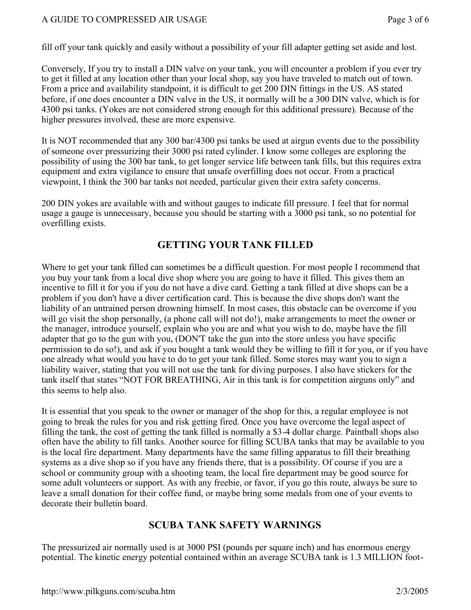#### A GUIDE TO COMPRESSED AIR USAGE PAGE AND SAMPLE PAGE 2 of 6

fill off your tank quickly and easily without a possibility of your fill adapter getting set aside and lost.

Conversely, If you try to install a DIN valve on your tank, you will encounter a problem if you ever try to get it filled at any location other than your local shop, say you have traveled to match out of town. From a price and availability standpoint, it is difficult to get 200 DIN fittings in the US. AS stated before, if one does encounter a DIN valve in the US, it normally will be a 300 DIN valve, which is for 4300 psi tanks. (Yokes are not considered strong enough for this additional pressure). Because of the higher pressures involved, these are more expensive.

It is NOT recommended that any 300 bar/4300 psi tanks be used at airgun events due to the possibility of someone over pressurizing their 3000 psi rated cylinder. I know some colleges are exploring the possibility of using the 300 bar tank, to get longer service life between tank fills, but this requires extra equipment and extra vigilance to ensure that unsafe overfilling does not occur. From a practical viewpoint, I think the 300 bar tanks not needed, particular given their extra safety concerns.

200 DIN yokes are available with and without gauges to indicate fill pressure. I feel that for normal usage a gauge is unnecessary, because you should be starting with a 3000 psi tank, so no potential for overfilling exists.

# **GETTING YOUR TANK FILLED**

Where to get your tank filled can sometimes be a difficult question. For most people I recommend that you buy your tank from a local dive shop where you are going to have it filled. This gives them an incentive to fill it for you if you do not have a dive card. Getting a tank filled at dive shops can be a problem if you don't have a diver certification card. This is because the dive shops don't want the liability of an untrained person drowning himself. In most cases, this obstacle can be overcome if you will go visit the shop personally, (a phone call will not do!), make arrangements to meet the owner or the manager, introduce yourself, explain who you are and what you wish to do, maybe have the fill adapter that go to the gun with you, (DON'T take the gun into the store unless you have specific permission to do so!), and ask if you bought a tank would they be willing to fill it for you, or if you have one already what would you have to do to get your tank filled. Some stores may want you to sign a liability waiver, stating that you will not use the tank for diving purposes. I also have stickers for the tank itself that states "NOT FOR BREATHING, Air in this tank is for competition airguns only" and this seems to help also.

It is essential that you speak to the owner or manager of the shop for this, a regular employee is not going to break the rules for you and risk getting fired. Once you have overcome the legal aspect of filling the tank, the cost of getting the tank filled is normally a \$3-4 dollar charge. Paintball shops also often have the ability to fill tanks. Another source for filling SCUBA tanks that may be available to you is the local fire department. Many departments have the same filling apparatus to fill their breathing systems as a dive shop so if you have any friends there, that is a possibility. Of course if you are a school or community group with a shooting team, the local fire department may be good source for some adult volunteers or support. As with any freebie, or favor, if you go this route, always be sure to leave a small donation for their coffee fund, or maybe bring some medals from one of your events to decorate their bulletin board.

#### **SCUBA TANK SAFETY WARNINGS**

The pressurized air normally used is at 3000 PSI (pounds per square inch) and has enormous energy potential. The kinetic energy potential contained within an average SCUBA tank is 1.3 MILLION foot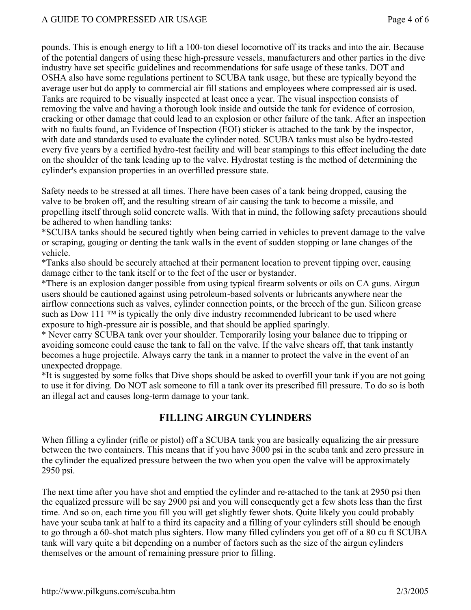pounds. This is enough energy to lift a 100-ton diesel locomotive off its tracks and into the air. Because of the potential dangers of using these high-pressure vessels, manufacturers and other parties in the dive industry have set specific guidelines and recommendations for safe usage of these tanks. DOT and OSHA also have some regulations pertinent to SCUBA tank usage, but these are typically beyond the average user but do apply to commercial air fill stations and employees where compressed air is used. Tanks are required to be visually inspected at least once a year. The visual inspection consists of removing the valve and having a thorough look inside and outside the tank for evidence of corrosion, cracking or other damage that could lead to an explosion or other failure of the tank. After an inspection with no faults found, an Evidence of Inspection (EOI) sticker is attached to the tank by the inspector, with date and standards used to evaluate the cylinder noted. SCUBA tanks must also be hydro-tested every five years by a certified hydro-test facility and will bear stampings to this effect including the date on the shoulder of the tank leading up to the valve. Hydrostat testing is the method of determining the cylinder's expansion properties in an overfilled pressure state.

Safety needs to be stressed at all times. There have been cases of a tank being dropped, causing the valve to be broken off, and the resulting stream of air causing the tank to become a missile, and propelling itself through solid concrete walls. With that in mind, the following safety precautions should be adhered to when handling tanks:

\*SCUBA tanks should be secured tightly when being carried in vehicles to prevent damage to the valve or scraping, gouging or denting the tank walls in the event of sudden stopping or lane changes of the vehicle.

\*Tanks also should be securely attached at their permanent location to prevent tipping over, causing damage either to the tank itself or to the feet of the user or bystander.

\*There is an explosion danger possible from using typical firearm solvents or oils on CA guns. Airgun users should be cautioned against using petroleum-based solvents or lubricants anywhere near the airflow connections such as valves, cylinder connection points, or the breech of the gun. Silicon grease such as Dow 111 <sup>TM</sup> is typically the only dive industry recommended lubricant to be used where exposure to high-pressure air is possible, and that should be applied sparingly.

\* Never carry SCUBA tank over your shoulder. Temporarily losing your balance due to tripping or avoiding someone could cause the tank to fall on the valve. If the valve shears off, that tank instantly becomes a huge projectile. Always carry the tank in a manner to protect the valve in the event of an unexpected droppage.

\*It is suggested by some folks that Dive shops should be asked to overfill your tank if you are not going to use it for diving. Do NOT ask someone to fill a tank over its prescribed fill pressure. To do so is both an illegal act and causes long-term damage to your tank.

# **FILLING AIRGUN CYLINDERS**

When filling a cylinder (rifle or pistol) off a SCUBA tank you are basically equalizing the air pressure between the two containers. This means that if you have 3000 psi in the scuba tank and zero pressure in the cylinder the equalized pressure between the two when you open the valve will be approximately 2950 psi.

The next time after you have shot and emptied the cylinder and re-attached to the tank at 2950 psi then the equalized pressure will be say 2900 psi and you will consequently get a few shots less than the first time. And so on, each time you fill you will get slightly fewer shots. Quite likely you could probably have your scuba tank at half to a third its capacity and a filling of your cylinders still should be enough to go through a 60-shot match plus sighters. How many filled cylinders you get off of a 80 cu ft SCUBA tank will vary quite a bit depending on a number of factors such as the size of the airgun cylinders themselves or the amount of remaining pressure prior to filling.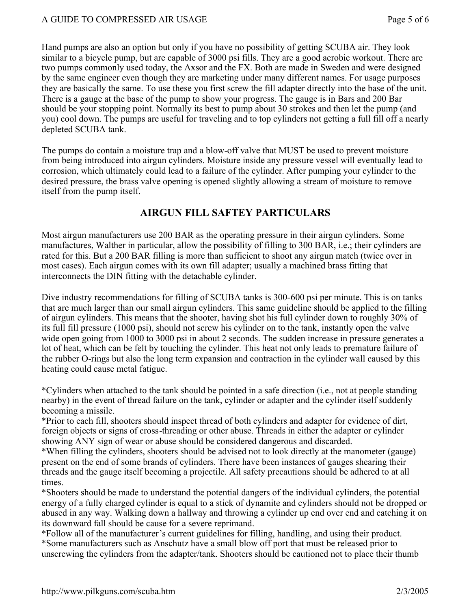Hand pumps are also an option but only if you have no possibility of getting SCUBA air. They look similar to a bicycle pump, but are capable of 3000 psi fills. They are a good aerobic workout. There are two pumps commonly used today, the Axsor and the FX. Both are made in Sweden and were designed by the same engineer even though they are marketing under many different names. For usage purposes they are basically the same. To use these you first screw the fill adapter directly into the base of the unit. There is a gauge at the base of the pump to show your progress. The gauge is in Bars and 200 Bar should be your stopping point. Normally its best to pump about 30 strokes and then let the pump (and you) cool down. The pumps are useful for traveling and to top cylinders not getting a full fill off a nearly depleted SCUBA tank.

The pumps do contain a moisture trap and a blow-off valve that MUST be used to prevent moisture from being introduced into airgun cylinders. Moisture inside any pressure vessel will eventually lead to corrosion, which ultimately could lead to a failure of the cylinder. After pumping your cylinder to the desired pressure, the brass valve opening is opened slightly allowing a stream of moisture to remove itself from the pump itself.

# **AIRGUN FILL SAFTEY PARTICULARS**

Most airgun manufacturers use 200 BAR as the operating pressure in their airgun cylinders. Some manufactures, Walther in particular, allow the possibility of filling to 300 BAR, i.e.; their cylinders are rated for this. But a 200 BAR filling is more than sufficient to shoot any airgun match (twice over in most cases). Each airgun comes with its own fill adapter; usually a machined brass fitting that interconnects the DIN fitting with the detachable cylinder.

Dive industry recommendations for filling of SCUBA tanks is 300-600 psi per minute. This is on tanks that are much larger than our small airgun cylinders. This same guideline should be applied to the filling of airgun cylinders. This means that the shooter, having shot his full cylinder down to roughly 30% of its full fill pressure (1000 psi), should not screw his cylinder on to the tank, instantly open the valve wide open going from 1000 to 3000 psi in about 2 seconds. The sudden increase in pressure generates a lot of heat, which can be felt by touching the cylinder. This heat not only leads to premature failure of the rubber O-rings but also the long term expansion and contraction in the cylinder wall caused by this heating could cause metal fatigue.

\*Cylinders when attached to the tank should be pointed in a safe direction (i.e., not at people standing nearby) in the event of thread failure on the tank, cylinder or adapter and the cylinder itself suddenly becoming a missile.

\*Prior to each fill, shooters should inspect thread of both cylinders and adapter for evidence of dirt, foreign objects or signs of cross-threading or other abuse. Threads in either the adapter or cylinder showing ANY sign of wear or abuse should be considered dangerous and discarded.

\*When filling the cylinders, shooters should be advised not to look directly at the manometer (gauge) present on the end of some brands of cylinders. There have been instances of gauges shearing their threads and the gauge itself becoming a projectile. All safety precautions should be adhered to at all times.

\*Shooters should be made to understand the potential dangers of the individual cylinders, the potential energy of a fully charged cylinder is equal to a stick of dynamite and cylinders should not be dropped or abused in any way. Walking down a hallway and throwing a cylinder up end over end and catching it on its downward fall should be cause for a severe reprimand.

\*Follow all of the manufacturer's current guidelines for filling, handling, and using their product. \*Some manufacturers such as Anschutz have a small blow off port that must be released prior to unscrewing the cylinders from the adapter/tank. Shooters should be cautioned not to place their thumb